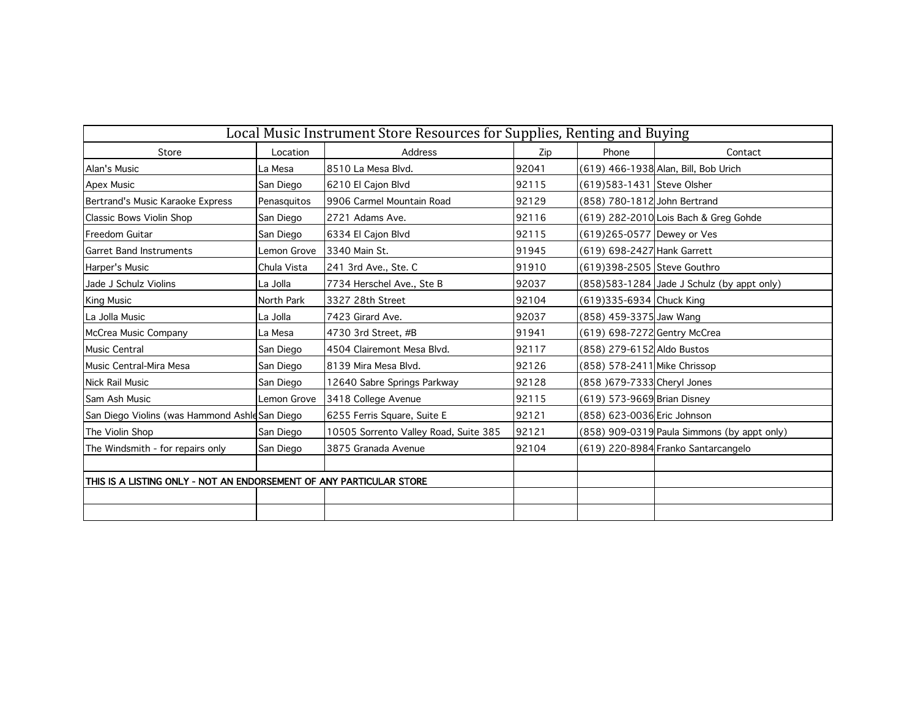| Local Music Instrument Store Resources for Supplies, Renting and Buying |             |                                       |       |                              |                                               |
|-------------------------------------------------------------------------|-------------|---------------------------------------|-------|------------------------------|-----------------------------------------------|
| Store                                                                   | Location    | Address                               | Zip   | Phone                        | Contact                                       |
| Alan's Music                                                            | La Mesa     | 8510 La Mesa Blvd.                    | 92041 |                              | (619) 466-1938 Alan, Bill, Bob Urich          |
| <b>Apex Music</b>                                                       | San Diego   | 6210 El Cajon Blvd                    | 92115 | (619)583-1431 Steve Olsher   |                                               |
| Bertrand's Music Karaoke Express                                        | Penasquitos | 19906 Carmel Mountain Road            | 92129 | (858) 780-1812 John Bertrand |                                               |
| Classic Bows Violin Shop                                                | San Diego   | 2721 Adams Ave.                       | 92116 |                              | (619) 282-2010 Lois Bach & Greg Gohde         |
| <b>Freedom Guitar</b>                                                   | San Diego   | 6334 El Cajon Blvd                    | 92115 | (619)265-0577 Dewey or Ves   |                                               |
| <b>Garret Band Instruments</b>                                          | Lemon Grove | 3340 Main St.                         | 91945 | (619) 698-2427 Hank Garrett  |                                               |
| Harper's Music                                                          | Chula Vista | 241 3rd Ave., Ste. C                  | 91910 | (619)398-2505 Steve Gouthro  |                                               |
| Jade J Schulz Violins                                                   | La Jolla    | 7734 Herschel Ave., Ste B             | 92037 |                              | $(858)$ 583-1284 Jade J Schulz (by appt only) |
| King Music                                                              | North Park  | 3327 28th Street                      | 92104 | (619)335-6934 Chuck King     |                                               |
| La Jolla Music                                                          | La Jolla    | 7423 Girard Ave.                      | 92037 | (858) 459-3375 Jaw Wang      |                                               |
| McCrea Music Company                                                    | La Mesa     | 4730 3rd Street, #B                   | 91941 | (619) 698-7272 Gentry McCrea |                                               |
| <b>Music Central</b>                                                    | San Diego   | 4504 Clairemont Mesa Blvd.            | 92117 | (858) 279-6152 Aldo Bustos   |                                               |
| Music Central-Mira Mesa                                                 | San Diego   | 8139 Mira Mesa Blvd.                  | 92126 | (858) 578-2411 Mike Chrissop |                                               |
| <b>Nick Rail Music</b>                                                  | San Diego   | 12640 Sabre Springs Parkway           | 92128 | (858) 679-7333 Cheryl Jones  |                                               |
| Sam Ash Music                                                           | Lemon Grove | 3418 College Avenue                   | 92115 | (619) 573-9669 Brian Disney  |                                               |
| San Diego Violins (was Hammond Ashle San Diego                          |             | 6255 Ferris Square, Suite E           | 92121 | (858) 623-0036 Eric Johnson  |                                               |
| The Violin Shop                                                         | San Diego   | 10505 Sorrento Valley Road, Suite 385 | 92121 |                              | (858) 909-0319 Paula Simmons (by appt only)   |
| The Windsmith - for repairs only                                        | San Diego   | 3875 Granada Avenue                   | 92104 |                              | (619) 220-8984 Franko Santarcangelo           |
|                                                                         |             |                                       |       |                              |                                               |
| THIS IS A LISTING ONLY - NOT AN ENDORSEMENT OF ANY PARTICULAR STORE     |             |                                       |       |                              |                                               |
|                                                                         |             |                                       |       |                              |                                               |
|                                                                         |             |                                       |       |                              |                                               |